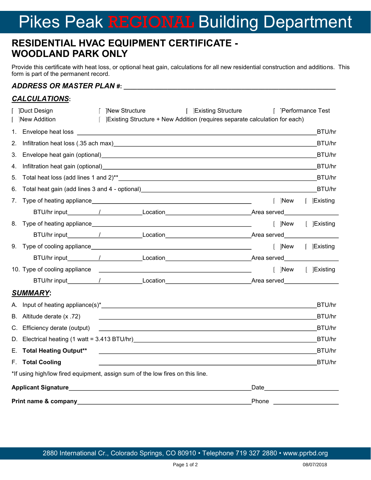# Pikes Peak REGIONAL Building Department

## **RESIDENTIAL HVAC EQUIPMENT CERTIFICATE - WOODLAND PARK ONLY**

Provide this certificate with heat loss, or optional heat gain, calculations for all new residential construction and additions. This form is part of the permanent record.

## *ADDRESS OR MASTER PLAN* **#: \_\_\_\_\_\_\_\_\_\_\_\_\_\_\_\_\_\_\_\_\_\_\_\_\_\_\_\_\_\_\_\_\_\_\_\_\_\_\_\_\_\_\_\_\_\_\_\_\_\_\_\_\_\_\_\_\_\_\_\_\_\_\_**

#### *CALCULATIONS***:**

|    | New Structure<br><b>Existing Structure</b><br>Duct Design                                                                                                                                                                                                          | Performance Test                                                                                                                                                                                                               |                  |
|----|--------------------------------------------------------------------------------------------------------------------------------------------------------------------------------------------------------------------------------------------------------------------|--------------------------------------------------------------------------------------------------------------------------------------------------------------------------------------------------------------------------------|------------------|
|    | <b>New Addition</b><br> Existing Structure + New Addition (requires separate calculation for each)                                                                                                                                                                 |                                                                                                                                                                                                                                |                  |
| 1. |                                                                                                                                                                                                                                                                    |                                                                                                                                                                                                                                | BTU/hr           |
| 2. |                                                                                                                                                                                                                                                                    |                                                                                                                                                                                                                                | BTU/hr           |
| 3. | Envelope heat gain (optional) entitled and a series of the series of the series of the series of the series of                                                                                                                                                     |                                                                                                                                                                                                                                | BTU/hr           |
| 4. |                                                                                                                                                                                                                                                                    |                                                                                                                                                                                                                                | BTU/hr           |
| 5. |                                                                                                                                                                                                                                                                    |                                                                                                                                                                                                                                | BTU/hr           |
| 6. | Total heat gain (add lines 3 and 4 - optional)___________________________________                                                                                                                                                                                  |                                                                                                                                                                                                                                | BTU/hr           |
| 7. |                                                                                                                                                                                                                                                                    | New                                                                                                                                                                                                                            | $\vert$ Existing |
|    |                                                                                                                                                                                                                                                                    |                                                                                                                                                                                                                                |                  |
| 8. |                                                                                                                                                                                                                                                                    | New    Existing                                                                                                                                                                                                                |                  |
|    |                                                                                                                                                                                                                                                                    |                                                                                                                                                                                                                                |                  |
| 9. |                                                                                                                                                                                                                                                                    | New                                                                                                                                                                                                                            | Existing         |
|    |                                                                                                                                                                                                                                                                    |                                                                                                                                                                                                                                |                  |
|    |                                                                                                                                                                                                                                                                    | New   Existing                                                                                                                                                                                                                 |                  |
|    |                                                                                                                                                                                                                                                                    |                                                                                                                                                                                                                                |                  |
|    | <b>SUMMARY:</b>                                                                                                                                                                                                                                                    |                                                                                                                                                                                                                                |                  |
|    |                                                                                                                                                                                                                                                                    |                                                                                                                                                                                                                                | BTU/hr           |
| В. | Altitude derate (x .72)<br><u> 1980 - Johann Barnett, fransk politik (f. 1980)</u>                                                                                                                                                                                 |                                                                                                                                                                                                                                | BTU/hr           |
| C. | Efficiency derate (output)<br><u> 1989 - Johann Stoff, deutscher Stoffen und der Stoffen und der Stoffen und der Stoffen und der Stoffen und der Stoffen und der Stoffen und der Stoffen und der Stoffen und der Stoffen und der Stoffen und der Stoffen und d</u> |                                                                                                                                                                                                                                | BTU/hr           |
| D. |                                                                                                                                                                                                                                                                    |                                                                                                                                                                                                                                | BTU/hr           |
| Е. | <b>Total Heating Output**</b>                                                                                                                                                                                                                                      |                                                                                                                                                                                                                                | BTU/hr           |
|    | F. Total Cooling                                                                                                                                                                                                                                                   |                                                                                                                                                                                                                                | BTU/hr           |
|    | *If using high/low fired equipment, assign sum of the low fires on this line.                                                                                                                                                                                      |                                                                                                                                                                                                                                |                  |
|    |                                                                                                                                                                                                                                                                    | Date the control of the control of the control of the control of the control of the control of the control of the control of the control of the control of the control of the control of the control of the control of the con |                  |
|    | Print name & company                                                                                                                                                                                                                                               | Phone                                                                                                                                                                                                                          |                  |